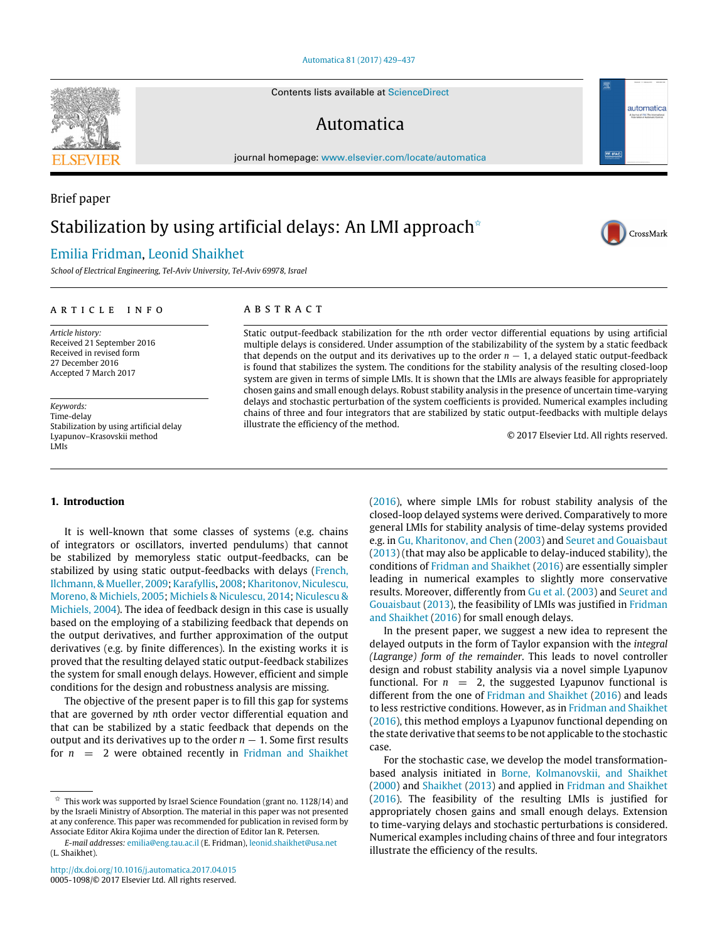# [Automatica 81 \(2017\) 429–437](http://dx.doi.org/10.1016/j.automatica.2017.04.015)

Contents lists available at [ScienceDirect](http://www.elsevier.com/locate/automatica)

# Automatica

journal homepage: [www.elsevier.com/locate/automatica](http://www.elsevier.com/locate/automatica)

# Brief paper

# Stabilization by using artificial delays: An LMI approach<sup> $\star$ </sup>

# [Emilia Fridman,](#page-8-0) [Leonid Shaikhet](#page-8-1)

*School of Electrical Engineering, Tel-Aviv University, Tel-Aviv 69978, Israel*

#### ARTICLE INFO

*Article history:* Received 21 September 2016 Received in revised form 27 December 2016 Accepted 7 March 2017

*Keywords:* Time-delay Stabilization by using artificial delay Lyapunov–Krasovskii method LMIs

# **1. Introduction**

It is well-known that some classes of systems (e.g. chains of integrators or oscillators, inverted pendulums) that cannot be stabilized by memoryless static output-feedbacks, can be stabilized by using static output-feedbacks with delays [\(French,](#page-8-2) [Ilchmann,](#page-8-2) [&](#page-8-2) [Mueller,](#page-8-2) [2009;](#page-8-2) [Karafyllis,](#page-8-3) [2008;](#page-8-3) [Kharitonov,](#page-8-4) [Niculescu,](#page-8-4) [Moreno,](#page-8-4) [&](#page-8-4) [Michiels,](#page-8-4) [2005;](#page-8-4) [Michiels](#page-8-5) [&](#page-8-5) [Niculescu,](#page-8-5) [2014;](#page-8-5) [Niculescu](#page-8-6) [&](#page-8-6) [Michiels,](#page-8-6) [2004\)](#page-8-6). The idea of feedback design in this case is usually based on the employing of a stabilizing feedback that depends on the output derivatives, and further approximation of the output derivatives (e.g. by finite differences). In the existing works it is proved that the resulting delayed static output-feedback stabilizes the system for small enough delays. However, efficient and simple conditions for the design and robustness analysis are missing.

The objective of the present paper is to fill this gap for systems that are governed by *n*th order vector differential equation and that can be stabilized by a static feedback that depends on the output and its derivatives up to the order  $n - 1$ . Some first results for  $n = 2$  were obtained recently in [Fridman](#page-8-7) [and](#page-8-7) [Shaikhet](#page-8-7)

# A B S T R A C T

Static output-feedback stabilization for the *n*th order vector differential equations by using artificial multiple delays is considered. Under assumption of the stabilizability of the system by a static feedback that depends on the output and its derivatives up to the order  $n - 1$ , a delayed static output-feedback is found that stabilizes the system. The conditions for the stability analysis of the resulting closed-loop system are given in terms of simple LMIs. It is shown that the LMIs are always feasible for appropriately chosen gains and small enough delays. Robust stability analysis in the presence of uncertain time-varying delays and stochastic perturbation of the system coefficients is provided. Numerical examples including chains of three and four integrators that are stabilized by static output-feedbacks with multiple delays illustrate the efficiency of the method.

© 2017 Elsevier Ltd. All rights reserved.

[\(2016\)](#page-8-7), where simple LMIs for robust stability analysis of the closed-loop delayed systems were derived. Comparatively to more general LMIs for stability analysis of time-delay systems provided e.g. in [Gu,](#page-8-8) [Kharitonov,](#page-8-8) [and](#page-8-8) [Chen](#page-8-8) [\(2003\)](#page-8-8) and [Seuret](#page-8-9) [and](#page-8-9) [Gouaisbaut](#page-8-9) [\(2013\)](#page-8-9) (that may also be applicable to delay-induced stability), the conditions of [Fridman](#page-8-7) [and](#page-8-7) [Shaikhet](#page-8-7) [\(2016\)](#page-8-7) are essentially simpler leading in numerical examples to slightly more conservative results. Moreover, differently from [Gu](#page-8-8) [et al.](#page-8-8) [\(2003\)](#page-8-8) and [Seuret](#page-8-9) [and](#page-8-9) [Gouaisbaut](#page-8-9) [\(2013\)](#page-8-9), the feasibility of LMIs was justified in [Fridman](#page-8-7) [and](#page-8-7) [Shaikhet](#page-8-7) [\(2016\)](#page-8-7) for small enough delays.

In the present paper, we suggest a new idea to represent the delayed outputs in the form of Taylor expansion with the *integral (Lagrange) form of the remainder*. This leads to novel controller design and robust stability analysis via a novel simple Lyapunov functional. For  $n = 2$ , the suggested Lyapunov functional is different from the one of [Fridman](#page-8-7) [and](#page-8-7) [Shaikhet](#page-8-7) [\(2016\)](#page-8-7) and leads to less restrictive conditions. However, as in [Fridman](#page-8-7) [and](#page-8-7) [Shaikhet](#page-8-7) [\(2016\)](#page-8-7), this method employs a Lyapunov functional depending on the state derivative that seems to be not applicable to the stochastic case.

For the stochastic case, we develop the model transformationbased analysis initiated in [Borne,](#page-8-10) [Kolmanovskii,](#page-8-10) [and](#page-8-10) [Shaikhet](#page-8-10) [\(2000\)](#page-8-10) and [Shaikhet](#page-8-11) [\(2013\)](#page-8-11) and applied in [Fridman](#page-8-7) [and](#page-8-7) [Shaikhet](#page-8-7) [\(2016\)](#page-8-7). The feasibility of the resulting LMIs is justified for appropriately chosen gains and small enough delays. Extension to time-varying delays and stochastic perturbations is considered. Numerical examples including chains of three and four integrators illustrate the efficiency of the results.





automatica

<span id="page-0-0"></span> $\overrightarrow{x}$  This work was supported by Israel Science Foundation (grant no. 1128/14) and by the Israeli Ministry of Absorption. The material in this paper was not presented at any conference. This paper was recommended for publication in revised form by Associate Editor Akira Kojima under the direction of Editor Ian R. Petersen.

*E-mail addresses:* [emilia@eng.tau.ac.il](mailto:emilia@eng.tau.ac.il) (E. Fridman), [leonid.shaikhet@usa.net](mailto:leonid.shaikhet@usa.net) (L. Shaikhet).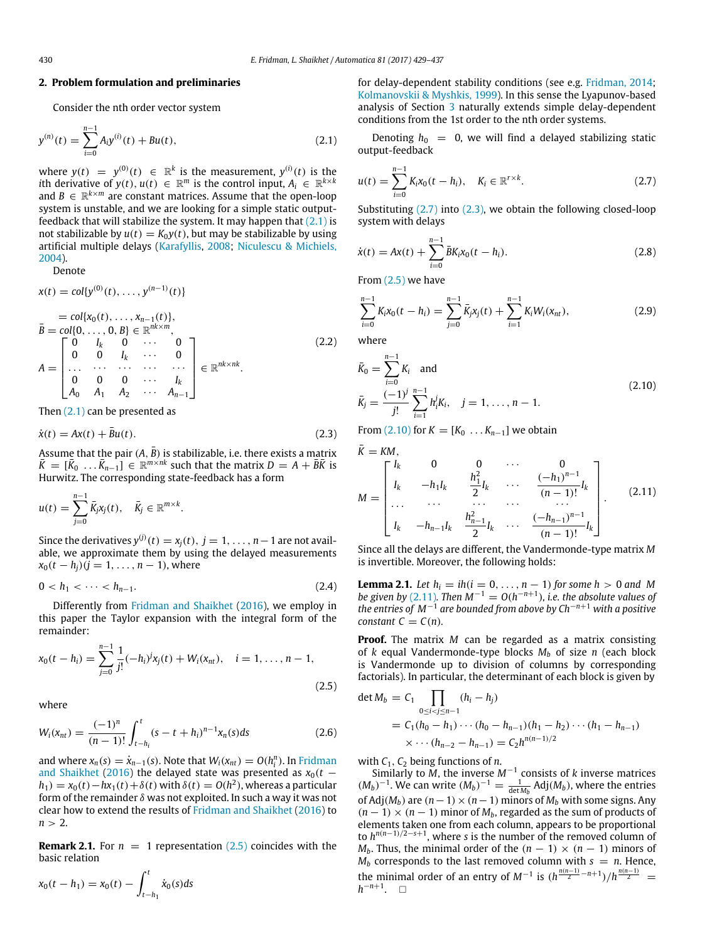## **2. Problem formulation and preliminaries**

Consider the nth order vector system

$$
y^{(n)}(t) = \sum_{i=0}^{n-1} A_i y^{(i)}(t) + Bu(t),
$$
\n(2.1)

where  $y(t) = y^{(0)}(t) \in \mathbb{R}^k$  is the measurement,  $y^{(i)}(t)$  is the *i*th derivative of  $y(t)$ ,  $u(t) \in \mathbb{R}^m$  is the control input,  $A_i \in \mathbb{R}^{k \times k}$ and  $B \in \mathbb{R}^{k \times m}$  are constant matrices. Assume that the open-loop system is unstable, and we are looking for a simple static outputfeedback that will stabilize the system. It may happen that  $(2.1)$  is not stabilizable by  $u(t) = K_0 y(t)$ , but may be stabilizable by using artificial multiple delays [\(Karafyllis,](#page-8-3) [2008;](#page-8-3) [Niculescu](#page-8-6) [&](#page-8-6) [Michiels,](#page-8-6) [2004\)](#page-8-6).

Denote

$$
x(t) = col\{y^{(0)}(t), ..., y^{(n-1)}(t)\}
$$
  
\n
$$
\bar{B} = col\{x_0(t), ..., x_{n-1}(t)\},
$$
  
\n
$$
\bar{B} = col\{0, ..., 0, B\} \in \mathbb{R}^{nk \times m},
$$
  
\n
$$
A = \begin{bmatrix}\n0 & I_k & 0 & \cdots & 0 \\
0 & 0 & I_k & \cdots & 0 \\
\cdots & \cdots & \cdots & \cdots & \cdots \\
0 & 0 & 0 & \cdots & I_k \\
A_0 & A_1 & A_2 & \cdots & A_{n-1}\n\end{bmatrix} \in \mathbb{R}^{nk \times nk}.
$$
\n(2.2)

Then  $(2.1)$  can be presented as

$$
\dot{x}(t) = Ax(t) + \bar{B}u(t). \tag{2.3}
$$

Assume that the pair  $(A, \overline{B})$  is stabilizable, i.e. there exists a matrix  $\bar{K} = [\bar{K}_0 \dots \bar{K}_{n-1}] \in \mathbb{R}^{m \times nk}$  such that the matrix  $D = A + \bar{B}\bar{K}$  is Hurwitz. The corresponding state-feedback has a form

$$
u(t)=\sum_{j=0}^{n-1}\bar{K}_jx_j(t),\quad \bar{K}_j\in\mathbb{R}^{m\times k}.
$$

Since the derivatives  $y^{(j)}(t) = x_j(t), j = 1, \ldots, n-1$  are not available, we approximate them by using the delayed measurements  $x_0(t - h_i)(j = 1, \ldots, n - 1)$ , where

$$
0 < h_1 < \cdots < h_{n-1}.\tag{2.4}
$$

Differently from [Fridman](#page-8-7) [and](#page-8-7) [Shaikhet](#page-8-7) [\(2016\)](#page-8-7), we employ in this paper the Taylor expansion with the integral form of the remainder:

$$
x_0(t - h_i) = \sum_{j=0}^{n-1} \frac{1}{j!} (-h_i)^j x_j(t) + W_i(x_{nt}), \quad i = 1, ..., n-1,
$$
\n(2.5)

where

$$
W_i(x_{nt}) = \frac{(-1)^n}{(n-1)!} \int_{t-h_i}^t (s-t+h_i)^{n-1} x_n(s) ds
$$
 (2.6)

and where  $x_n(s) = \dot{x}_{n-1}(s)$ . Note that  $W_i(x_{nt}) = O(h_i^n)$ . In [Fridman](#page-8-7) [and](#page-8-7) [Shaikhet](#page-8-7) [\(2016\)](#page-8-7) the delayed state was presented as  $x_0(t$  $h_1$ ) =  $x_0$ (*t*) −  $hx_1$ (*t*) +  $\delta$ (*t*) with  $\delta$ (*t*) =  $O(h^2)$ , whereas a particular form of the remainder  $\delta$  was not exploited. In such a way it was not clear how to extend the results of [Fridman](#page-8-7) [and](#page-8-7) [Shaikhet](#page-8-7) [\(2016\)](#page-8-7) to  $n > 2$ .

**Remark 2.1.** For  $n = 1$  representation [\(2.5\)](#page-1-1) coincides with the basic relation

$$
x_0(t - h_1) = x_0(t) - \int_{t - h_1}^t \dot{x}_0(s)ds
$$

for delay-dependent stability conditions (see e.g. [Fridman,](#page-8-12) [2014;](#page-8-12) [Kolmanovskii](#page-8-13) [&](#page-8-13) [Myshkis,](#page-8-13) [1999\)](#page-8-13). In this sense the Lyapunov-based analysis of Section [3](#page-2-0) naturally extends simple delay-dependent conditions from the 1st order to the nth order systems.

<span id="page-1-0"></span>Denoting  $h_0 = 0$ , we will find a delayed stabilizing static output-feedback

<span id="page-1-2"></span>
$$
u(t) = \sum_{i=0}^{n-1} K_i x_0 (t - h_i), \quad K_i \in \mathbb{R}^{r \times k}.
$$
 (2.7)

Substituting [\(2.7\)](#page-1-2) into [\(2.3\),](#page-1-3) we obtain the following closed-loop system with delays

<span id="page-1-8"></span>
$$
\dot{x}(t) = Ax(t) + \sum_{i=0}^{n-1} \bar{B}K_i x_0(t - h_i).
$$
\n(2.8)

From  $(2.5)$  we have

<span id="page-1-7"></span>
$$
\sum_{i=0}^{n-1} K_i x_0(t - h_i) = \sum_{j=0}^{n-1} \bar{K}_j x_j(t) + \sum_{i=1}^{n-1} K_i W_i(x_{nt}), \qquad (2.9)
$$

where

<span id="page-1-4"></span>
$$
\bar{K}_0 = \sum_{i=0}^{n-1} K_i \text{ and}
$$
\n
$$
\bar{K}_j = \frac{(-1)^j}{j!} \sum_{i=1}^{n-1} h_i^j K_i, \quad j = 1, ..., n-1.
$$
\n(2.10)

<span id="page-1-3"></span>From [\(2.10\)](#page-1-4) for  $K = [K_0 : \ldots K_{n-1}]$  we obtain

<span id="page-1-5"></span>
$$
\bar{K} = KM,
$$
\n
$$
M = \begin{bmatrix}\nI_k & 0 & 0 & \cdots & 0 \\
I_k & -h_1I_k & \frac{h_1^2}{2}I_k & \cdots & \frac{(-h_1)^{n-1}}{(n-1)!}I_k \\
\cdots & \cdots & \cdots & \cdots & \cdots \\
I_k & -h_{n-1}I_k & \frac{h_{n-1}^2}{2}I_k & \cdots & \frac{(-h_{n-1})^{n-1}}{(n-1)!}I_k\n\end{bmatrix}.
$$
\n(2.11)

Since all the delays are different, the Vandermonde-type matrix *M* is invertible. Moreover, the following holds:

<span id="page-1-6"></span>**Lemma 2.1.** *Let*  $h_i = ih(i = 0, ..., n - 1)$  *for some h* > 0 *and M be given by* [\(2.11\)](#page-1-5). Then  $M^{-1} = O(h^{-n+1})$ , *i.e. the absolute values of the entries of M*−<sup>1</sup> *are bounded from above by Ch*−*n*+<sup>1</sup> *with a positive constant*  $C = C(n)$ *.* 

**Proof.** The matrix *M* can be regarded as a matrix consisting of *k* equal Vandermonde-type blocks  $M_b$  of size *n* (each block is Vandermonde up to division of columns by corresponding factorials). In particular, the determinant of each block is given by

<span id="page-1-9"></span><span id="page-1-1"></span>det 
$$
M_b = C_1 \prod_{0 \le i < j \le n-1} (h_i - h_j)
$$
  
=  $C_1(h_0 - h_1) \cdots (h_0 - h_{n-1})(h_1 - h_2) \cdots (h_1 - h_{n-1})$   
 $\times \cdots (h_{n-2} - h_{n-1}) = C_2 h^{n(n-1)/2}$ 

with  $C_1$ ,  $C_2$  being functions of *n*.

Similarly to *M*, the inverse *M*−<sup>1</sup> consists of *k* inverse matrices  $(M_b)^{-1}$ . We can write  $(M_b)^{-1} = \frac{1}{\det M_b}$  Adj $(M_b)$ , where the entries of Adj( $M_b$ ) are  $(n-1) \times (n-1)$  minors of  $M_b$  with some signs. Any  $(n-1) \times (n-1)$  minor of  $M_b$ , regarded as the sum of products of elements taken one from each column, appears to be proportional to  $h^{n(n-1)/2-s+1}$ , where *s* is the number of the removed column of *M*<sup>*b*</sup>. Thus, the minimal order of the  $(n - 1) \times (n - 1)$  minors of  $M_b$  corresponds to the last removed column with  $s = n$ . Hence, the minimal order of an entry of  $M^{-1}$  is  $(h^{\frac{n(n-1)}{2}-n+1})/h^{\frac{n(n-1)}{2}}$ *h*<sup>-*n*+1</sup>. □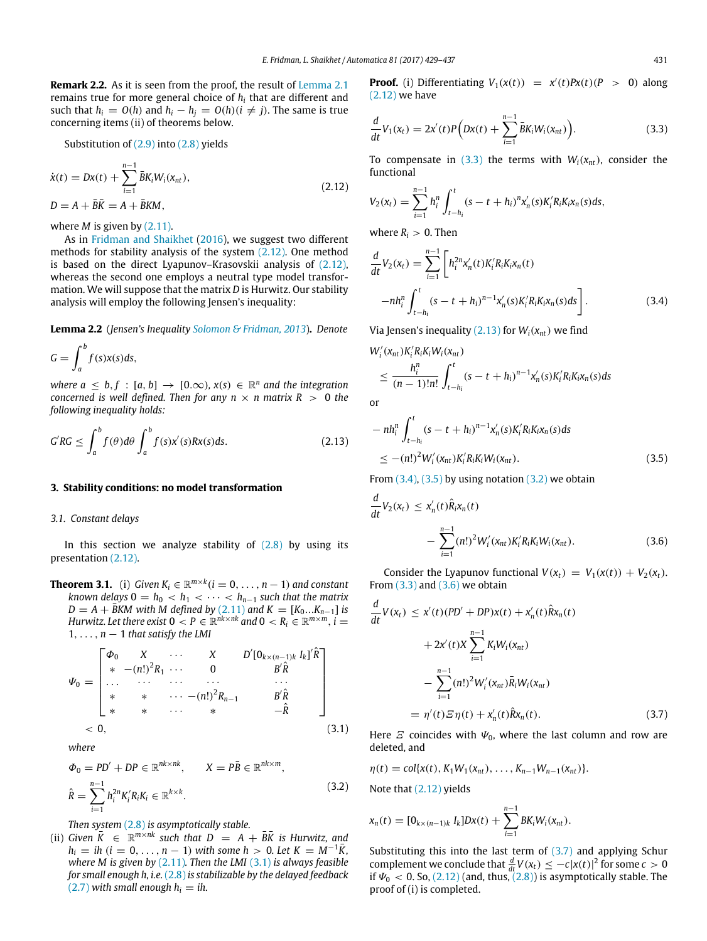**Remark 2.2.** As it is seen from the proof, the result of [Lemma 2.1](#page-1-6) remains true for more general choice of *h<sup>i</sup>* that are different and such that  $h_i = O(h)$  and  $h_i - h_j = O(h)(i \neq j)$ . The same is true concerning items (ii) of theorems below.

Substitution of [\(2.9\)](#page-1-7) into [\(2.8\)](#page-1-8) yields

$$
\dot{x}(t) = Dx(t) + \sum_{i=1}^{n-1} \bar{B}K_i W_i(x_{nt}),
$$
  
\n
$$
D = A + \bar{B}\bar{K} = A + \bar{B}KM,
$$
\n(2.12)

where *M* is given by [\(2.11\).](#page-1-5)

As in [Fridman](#page-8-7) [and](#page-8-7) [Shaikhet](#page-8-7) [\(2016\)](#page-8-7), we suggest two different methods for stability analysis of the system [\(2.12\).](#page-2-1) One method is based on the direct Lyapunov–Krasovskii analysis of [\(2.12\),](#page-2-1) whereas the second one employs a neutral type model transformation. We will suppose that the matrix *D* is Hurwitz. Our stability analysis will employ the following Jensen's inequality:

**Lemma 2.2** (*Jensen's Inequality [Solomon](#page-8-14) [&](#page-8-14) [Fridman,](#page-8-14) [2013](#page-8-14)*)**.** *Denote*

$$
G = \int_a^b f(s)x(s)ds,
$$

*where*  $a \leq b, f : [a, b] \rightarrow [0, \infty)$ ,  $x(s) \in \mathbb{R}^n$  and the integration *concerned is well defined. Then for any n*  $\times$  *n matrix R*  $>$  0 *the following inequality holds:*

$$
G'RG \le \int_a^b f(\theta)d\theta \int_a^b f(s)x'(s)Rx(s)ds.
$$
 (2.13)

## <span id="page-2-0"></span>**3. Stability conditions: no model transformation**

## *3.1. Constant delays*

In this section we analyze stability of  $(2.8)$  by using its presentation [\(2.12\).](#page-2-1)

<span id="page-2-10"></span>**Theorem 3.1.** (i) *Given*  $K_i \in \mathbb{R}^{m \times k}$  ( $i = 0, \ldots, n - 1$ ) and constant *known delays*  $0 = h_0 < h_1 < \cdots < h_{n-1}$  *such that the matrix*  $D = A + \overline{B}$ *KM with M defined by* [\(2.11\)](#page-1-5) *and*  $K = [K_0...K_{n-1}]$  *is Hurwitz. Let there exist*  $0 < P \in \mathbb{R}^{nk \times nk}$  and  $0 < R_i \in \mathbb{R}^{m \times m}$ ,  $i =$  $1, \ldots, n-1$  *that satisfy the LMI* 

$$
\Psi_0 = \begin{bmatrix} \Phi_0 & X & \cdots & X & D'[0_{k \times (n-1)k} I_k]' \hat{R} \\ * & -(n!)^2 R_1 & \cdots & 0 & B' \hat{R} \\ \cdots & \cdots & \cdots & \cdots & \cdots \\ * & * & \cdots & -(n!)^2 R_{n-1} & B' \hat{R} \\ * & * & \cdots & * & -\hat{R} \end{bmatrix}
$$
\n
$$
< 0,
$$
\n(3.1)

*where*

$$
\Phi_0 = PD' + DP \in \mathbb{R}^{nk \times nk}, \qquad X = P\bar{B} \in \mathbb{R}^{nk \times m},
$$
  

$$
\hat{R} = \sum_{i=1}^{n-1} h_i^{2n} K_i' R_i K_i \in \mathbb{R}^{k \times k}.
$$
 (3.2)

*Then system* [\(2.8\)](#page-1-8) *is asymptotically stable.*

(ii) *Given*  $\overline{K} \in \mathbb{R}^{m \times nk}$  *such that*  $D = A + \overline{B}\overline{K}$  *is Hurwitz, and*  $h_i = ih$  (*i* = 0, ..., *n* − 1) *with some h* > 0*. Let*  $K = M^{-1}\overline{K}$ , *where M is given by* [\(2.11\)](#page-1-5)*. Then the LMI* [\(3.1\)](#page-2-2) *is always feasible for small enough h, i.e.* [\(2.8\)](#page-1-8) *is stabilizable by the delayed feedback*  $(2.7)$  *with small enough h<sub>i</sub> = ih.* 

**Proof.** (i) Differentiating  $V_1(x(t)) = x'(t)Px(t)(P > 0)$  along [\(2.12\)](#page-2-1) we have

<span id="page-2-3"></span>
$$
\frac{d}{dt}V_1(x_t) = 2x'(t)P(Dx(t) + \sum_{i=1}^{n-1} \bar{B}K_iW_i(x_{nt})\big).
$$
\n(3.3)

<span id="page-2-1"></span>To compensate in [\(3.3\)](#page-2-3) the terms with  $W_i(x_{nt})$ , consider the functional

$$
V_2(x_t) = \sum_{i=1}^{n-1} h_i^n \int_{t-h_i}^t (s-t+h_i)^n x'_n(s) K_i^{\prime} R_i K_i x_n(s) ds,
$$

where  $R_i > 0$ . Then

<span id="page-2-5"></span>
$$
\frac{d}{dt}V_2(x_t) = \sum_{i=1}^{n-1} \left[ h_i^{2n} x'_n(t) K_i' R_i K_i x_n(t) -nh_i^n \int_{t-h_i}^t (s-t+h_i)^{n-1} x'_n(s) K_i' R_i K_i x_n(s) ds \right].
$$
\n(3.4)

Via Jensen's inequality  $(2.13)$  for  $W_i(x_{nt})$  we find

$$
W'_{i}(x_{nt})K'_{i}R_{i}W_{i}(x_{nt})
$$
  
\n
$$
\leq \frac{h_{i}^{n}}{(n-1)!n!} \int_{t-h_{i}}^{t} (s-t+h_{i})^{n-1}x'_{n}(s)K'_{i}R_{i}K_{i}x_{n}(s)ds
$$

or

<span id="page-2-6"></span><span id="page-2-4"></span>
$$
-nh_i^n \int_{t-h_i}^t (s-t+h_i)^{n-1} x'_n(s) K_i' R_i K_i x_n(s) ds
$$
  
 
$$
\leq -(n!)^2 W_i'(x_{nt}) K_i' R_i K_i W_i(x_{nt}). \tag{3.5}
$$

From  $(3.4)$ ,  $(3.5)$  by using notation  $(3.2)$  we obtain

<span id="page-2-8"></span>
$$
\frac{d}{dt}V_2(x_t) \leq x'_n(t)\hat{R}_i x_n(t) \n- \sum_{i=1}^{n-1} (n!)^2 W'_i(x_{nt}) K'_i R_i K_i W_i(x_{nt}).
$$
\n(3.6)

Consider the Lyapunov functional  $V(x_t) = V_1(x(t)) + V_2(x_t)$ . From  $(3.3)$  and  $(3.6)$  we obtain

$$
\frac{d}{dt}V(x_t) \le x'(t)(PD' + DP)x(t) + x'_n(t)\hat{R}x_n(t) \n+ 2x'(t)X \sum_{i=1}^{n-1} K_i W_i(x_{nt}) \n- \sum_{i=1}^{n-1} (n!)^2 W'_i(x_{nt})\overline{R}_i W_i(x_{nt}) \n= \eta'(t)\Xi\eta(t) + x'_n(t)\hat{R}x_n(t).
$$
\n(3.7)

<span id="page-2-9"></span><span id="page-2-2"></span>Here  $\mathcal E$  coincides with  $\Psi_0$ , where the last column and row are deleted, and

<span id="page-2-7"></span>
$$
\eta(t) = col\{x(t), K_1W_1(x_{nt}), \ldots, K_{n-1}W_{n-1}(x_{nt})\}.
$$

Note that [\(2.12\)](#page-2-1) yields

$$
x_n(t) = [0_{k \times (n-1)k} I_k]Dx(t) + \sum_{i=1}^{n-1} BK_i W_i(x_{nt}).
$$

Substituting this into the last term of  $(3.7)$  and applying Schur complement we conclude that  $\frac{d}{dt}V(x_t) \leq -c|x(t)|^2$  for some  $c > 0$ if  $\Psi_0 < 0$ . So, [\(2.12\)](#page-2-1) (and, thus, [\(2.8\)\)](#page-1-8) is asymptotically stable. The proof of (i) is completed.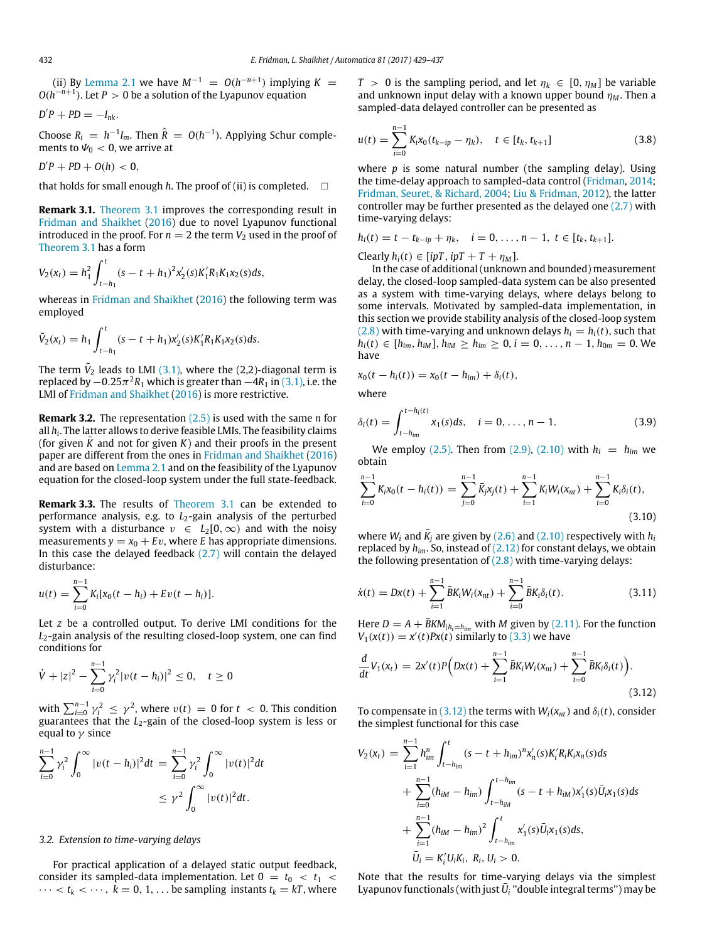(ii) By [Lemma 2.1](#page-1-6) we have  $M^{-1} = O(h^{-n+1})$  implying  $K =$ *O*(*h*<sup>−*n*+1</sup>). Let *P* > 0 be a solution of the Lyapunov equation

$$
D'P + PD = -I_{nk}.
$$

Choose  $R_i = h^{-1}I_m$ . Then  $\hat{R} = O(h^{-1})$ . Applying Schur complements to  $\Psi_0 < 0$ , we arrive at

$$
D'P + PD + O(h) < 0,
$$

that holds for small enough  $h$ . The proof of (ii) is completed.  $\square$ 

**Remark 3.1.** [Theorem 3.1](#page-2-10) improves the corresponding result in [Fridman](#page-8-7) [and](#page-8-7) [Shaikhet](#page-8-7) [\(2016\)](#page-8-7) due to novel Lyapunov functional introduced in the proof. For  $n = 2$  the term  $V_2$  used in the proof of [Theorem 3.1](#page-2-10) has a form

$$
V_2(x_t) = h_1^2 \int_{t-h_1}^t (s-t+h_1)^2 x_2'(s) K_1' R_1 K_1 x_2(s) ds,
$$

whereas in [Fridman](#page-8-7) [and](#page-8-7) [Shaikhet](#page-8-7) [\(2016\)](#page-8-7) the following term was employed

$$
\tilde{V}_2(x_t) = h_1 \int_{t-h_1}^t (s-t+h_1)x_2'(s)K_1'R_1K_1x_2(s)ds.
$$

The term  $\tilde{V}_2$  leads to LMI [\(3.1\),](#page-2-2) where the (2,2)-diagonal term is replaced by  $-0.25\pi^2R_1$  which is greater than  $-4R_1$  in [\(3.1\),](#page-2-2) i.e. the LMI of [Fridman](#page-8-7) [and](#page-8-7) [Shaikhet](#page-8-7) [\(2016\)](#page-8-7) is more restrictive.

**Remark 3.2.** The representation [\(2.5\)](#page-1-1) is used with the same *n* for all *h<sup>i</sup>* . The latter allows to derive feasible LMIs. The feasibility claims (for given  $\bar{K}$  and not for given  $K$ ) and their proofs in the present paper are different from the ones in [Fridman](#page-8-7) [and](#page-8-7) [Shaikhet](#page-8-7) [\(2016\)](#page-8-7) and are based on [Lemma 2.1](#page-1-6) and on the feasibility of the Lyapunov equation for the closed-loop system under the full state-feedback.

**Remark 3.3.** The results of [Theorem 3.1](#page-2-10) can be extended to performance analysis, e.g. to  $L_2$ -gain analysis of the perturbed system with a disturbance  $v \in L_2[0,\infty)$  and with the noisy measurements  $y = x_0 + Ev$ , where *E* has appropriate dimensions. In this case the delayed feedback  $(2.7)$  will contain the delayed disturbance:

$$
u(t) = \sum_{i=0}^{n-1} K_i [x_0(t-h_i) + Ev(t-h_i)].
$$

Let *z* be a controlled output. To derive LMI conditions for the *L*2-gain analysis of the resulting closed-loop system, one can find conditions for

$$
\dot{V} + |z|^2 - \sum_{i=0}^{n-1} \gamma_i^2 |v(t - h_i)|^2 \le 0, \quad t \ge 0
$$

with  $\sum_{i=0}^{n-1} \gamma_i^2 \leq \gamma^2$ , where  $v(t) = 0$  for  $t < 0$ . This condition guarantees that the *L*<sub>2</sub>-gain of the closed-loop system is less or equal to  $\gamma$  since

$$
\sum_{i=0}^{n-1} \gamma_i^2 \int_0^\infty |v(t-h_i)|^2 dt = \sum_{i=0}^{n-1} \gamma_i^2 \int_0^\infty |v(t)|^2 dt
$$
  

$$
\leq \gamma^2 \int_0^\infty |v(t)|^2 dt.
$$

# *3.2. Extension to time-varying delays*

For practical application of a delayed static output feedback, consider its sampled-data implementation. Let  $0 = t_0 < t_1 <$  $\cdots < t_k < \cdots$ ,  $k = 0, 1, \ldots$  be sampling instants  $t_k = kT$ , where *T* > 0 is the sampling period, and let  $\eta_k \in [0, \eta_M]$  be variable and unknown input delay with a known upper bound  $\eta_M$ . Then a sampled-data delayed controller can be presented as

<span id="page-3-3"></span>
$$
u(t) = \sum_{i=0}^{n-1} K_i x_0 (t_{k-ip} - \eta_k), \quad t \in [t_k, t_{k+1}]
$$
\n(3.8)

where *p* is some natural number (the sampling delay). Using the time-delay approach to sampled-data control [\(Fridman,](#page-8-12) [2014;](#page-8-12) [Fridman,](#page-8-15) [Seuret,](#page-8-15) [&](#page-8-15) [Richard,](#page-8-15) [2004;](#page-8-15) [Liu](#page-8-16) [&](#page-8-16) [Fridman,](#page-8-16) [2012\)](#page-8-16), the latter controller may be further presented as the delayed one  $(2.7)$  with time-varying delays:

$$
h_i(t) = t - t_{k-ip} + \eta_k, \quad i = 0, \ldots, n-1, t \in [t_k, t_{k+1}].
$$

Clearly  $h_i(t) \in [ipT, ipT + T + \eta_M]$ .

In the case of additional (unknown and bounded) measurement delay, the closed-loop sampled-data system can be also presented as a system with time-varying delays, where delays belong to some intervals. Motivated by sampled-data implementation, in this section we provide stability analysis of the closed-loop system [\(2.8\)](#page-1-8) with time-varying and unknown delays  $h_i = h_i(t)$ , such that *h*<sub>*i*</sub>(*t*) ∈ [*h*<sub>*im*</sub>, *h*<sub>*iM*</sub>], *h*<sub>*iM*</sub> ≥ *h*<sub>*im*</sub> ≥ 0, *i* = 0, . . . , *n* − 1, *h*<sub>0*m*</sub> = 0. We have

$$
x_0(t-h_i(t))=x_0(t-h_{im})+\delta_i(t),
$$

where

<span id="page-3-1"></span>
$$
\delta_i(t) = \int_{t - h_{im}}^{t - h_i(t)} x_1(s) ds, \quad i = 0, \dots, n - 1.
$$
 (3.9)

We employ [\(2.5\).](#page-1-1) Then from [\(2.9\),](#page-1-7) [\(2.10\)](#page-1-4) with  $h_i = h_{im}$  we obtain

$$
\sum_{i=0}^{n-1} K_i x_0(t - h_i(t)) = \sum_{j=0}^{n-1} \bar{K}_j x_j(t) + \sum_{i=1}^{n-1} K_i W_i(x_{nt}) + \sum_{i=0}^{n-1} K_i \delta_i(t),
$$
\n(3.10)

<span id="page-3-2"></span>where  $W_i$  and  $\bar{K}_j$  are given by [\(2.6\)](#page-1-9) and [\(2.10\)](#page-1-4) respectively with  $h_i$ replaced by *him*. So, instead of [\(2.12\)](#page-2-1) for constant delays, we obtain the following presentation of  $(2.8)$  with time-varying delays:

$$
\dot{x}(t) = Dx(t) + \sum_{i=1}^{n-1} \bar{B}K_i W_i(x_{nt}) + \sum_{i=0}^{n-1} \bar{B}K_i \delta_i(t).
$$
 (3.11)

Here  $D = A + \bar{B}KM_{|h_i=h_{im}}$  with *M* given by [\(2.11\).](#page-1-5) For the function  $V_1(x(t)) = x'(t)Px(t)$  similarly to [\(3.3\)](#page-2-3) we have

<span id="page-3-0"></span>
$$
\frac{d}{dt}V_1(x_t) = 2x'(t)P(Dx(t) + \sum_{i=1}^{n-1} \bar{B}K_iW_i(x_{nt}) + \sum_{i=0}^{n-1} \bar{B}K_i\delta_i(t)).
$$
\n(3.12)

To compensate in [\(3.12\)](#page-3-0) the terms with  $W_i(x_{nt})$  and  $\delta_i(t)$ , consider the simplest functional for this case

$$
V_2(x_t) = \sum_{i=1}^{n-1} h_{im}^n \int_{t-h_{im}}^t (s-t+h_{im})^n x'_n(s) K'_i R_i K_i x_n(s) ds
$$
  
+ 
$$
\sum_{i=0}^{n-1} (h_{iM} - h_{im}) \int_{t-h_{im}}^{t-h_{im}} (s-t+h_{iM}) x'_1(s) \bar{U}_i x_1(s) ds
$$
  
+ 
$$
\sum_{i=1}^{n-1} (h_{iM} - h_{im})^2 \int_{t-h_{im}}^t x'_1(s) \bar{U}_i x_1(s) ds,
$$
  

$$
\bar{U}_i = K'_i U_i K_i, R_i, U_i > 0.
$$

Note that the results for time-varying delays via the simplest Lyapunov functionals (with just  $\bar{U}_i$  "double integral terms") may be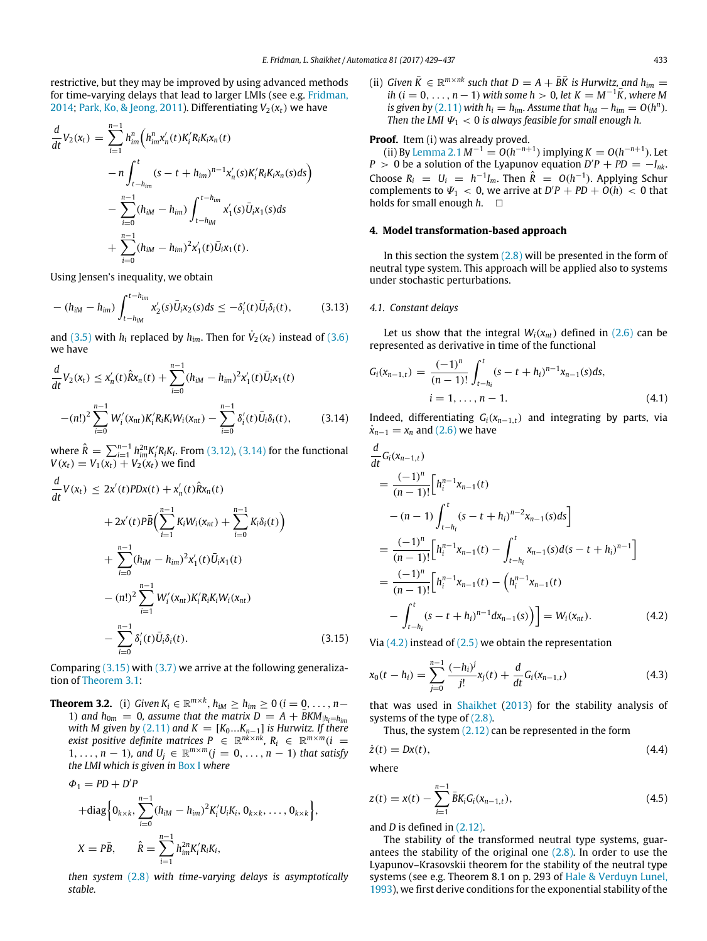restrictive, but they may be improved by using advanced methods for time-varying delays that lead to larger LMIs (see e.g. [Fridman,](#page-8-12) [2014;](#page-8-12) [Park,](#page-8-17) [Ko,](#page-8-17) [&](#page-8-17) [Jeong,](#page-8-17) [2011\)](#page-8-17). Differentiating  $V_2(x_t)$  we have

$$
\frac{d}{dt}V_2(x_t) = \sum_{i=1}^{n-1} h_{im}^n \Big( h_{im}^n x'_n(t) K_i' R_i K_i x_n(t) \n- n \int_{t-h_{im}}^t (s - t + h_{im})^{n-1} x'_n(s) K_i' R_i K_i x_n(s) ds \Big) \n- \sum_{i=0}^{n-1} (h_{iM} - h_{im}) \int_{t-h_{iM}}^{t-h_{im}} x'_1(s) \bar{U}_i x_1(s) ds \n+ \sum_{i=0}^{n-1} (h_{iM} - h_{im})^2 x'_1(t) \bar{U}_i x_1(t).
$$

Using Jensen's inequality, we obtain

$$
-(h_{iM}-h_{im})\int_{t-h_{iM}}^{t-h_{im}}x_{2}'(s)\bar{U}_{i}x_{2}(s)ds\leq-\delta_{i}'(t)\bar{U}_{i}\delta_{i}(t),
$$
 (3.13)

and [\(3.5\)](#page-2-6) with  $h_i$  replaced by  $h_{im}$ . Then for  $\dot{V}_2(x_t)$  instead of [\(3.6\)](#page-2-8) we have

$$
\frac{d}{dt}V_2(x_t) \le x'_n(t)\hat{R}x_n(t) + \sum_{i=0}^{n-1} (h_{iM} - h_{im})^2 x'_1(t)\bar{U}_i x_1(t)
$$

$$
-(n!)^2 \sum_{i=0}^{n-1} W'_i(x_{nt})K'_i R_i K_i W_i(x_{nt}) - \sum_{i=0}^{n-1} \delta'_i(t)\bar{U}_i \delta_i(t), \qquad (3.14)
$$

where  $\hat{R} = \sum_{i=1}^{n-1} h_{im}^{2n} K_i' R_i K_i$ . From [\(3.12\),](#page-3-0) [\(3.14\)](#page-4-0) for the functional  $V(x_t) = V_1(x_t) + V_2(x_t)$  we find

$$
\frac{d}{dt}V(x_t) \le 2x'(t)PDx(t) + x'_n(t)\hat{R}x_n(t) \n+ 2x'(t)P\bar{B}\Big(\sum_{i=1}^{n-1} K_iW_i(x_{nt}) + \sum_{i=0}^{n-1} K_i\delta_i(t)\Big) \n+ \sum_{i=0}^{n-1} (h_{iM} - h_{im})^2x'_1(t)\bar{U}_i x_1(t) \n- (n!)^2 \sum_{i=1}^{n-1} W'_i(x_{nt})K'_iR_iK_iW_i(x_{nt}) \n- \sum_{i=0}^{n-1} \delta'_i(t)\bar{U}_i\delta_i(t).
$$
\n(3.15)

Comparing  $(3.15)$  with  $(3.7)$  we arrive at the following generalization of [Theorem 3.1:](#page-2-10)

<span id="page-4-7"></span>**Theorem 3.2.** (i) *Given*  $K_i \in \mathbb{R}^{m \times k}$ ,  $h_{iM} \geq h_{im} \geq 0$  ( $i = 0, ..., n - 1$ ) 1) and  $h_{0m} = 0$ , assume that the matrix  $D = A + \overline{B}KM_{|h_i=h_{im}}$ *with M given by* [\(2.11\)](#page-1-5) and  $K = [K_0...K_{n-1}]$  *is Hurwitz. If there exist positive definite matrices*  $P \in \mathbb{R}^{nk \times nk}$ ,  $R_i \in \mathbb{R}^{m \times m}$  (*i* = 1, . . . ,  $n-1$ , and  $U_j \in \mathbb{R}^{m \times m}$   $(j = 0, \ldots, n-1)$  that satisfy *the LMI which is given in* [Box I](#page-5-0) *where*

$$
\Phi_1 = PD + D'P
$$
  
+diag  $\{0_{k \times k}, \sum_{i=0}^{n-1} (h_{iM} - h_{im})^2 K'_i U_i K_i, 0_{k \times k}, \dots, 0_{k \times k} \},$   

$$
X = P\bar{B}, \qquad \hat{R} = \sum_{i=1}^{n-1} h_{im}^{2n} K'_i R_i K_i,
$$

*then system* [\(2.8\)](#page-1-8) *with time-varying delays is asymptotically stable.*

(ii) *Given*  $\bar{K} \in \mathbb{R}^{m \times nk}$  *such that*  $D = A + \bar{B}\bar{K}$  *is Hurwitz*, *and*  $h_{im} =$ *ih* (*i* = 0, ..., *n* − 1) *with some h* > 0, let  $K = M^{-1}\overline{K}$ , where M *is given by* [\(2.11\)](#page-1-5) *with*  $h_i = h_{im}$ *. Assume that*  $h_{iM} - h_{im} = O(h^n)$ *. Then the LMI*  $\Psi_1 < 0$  *is always feasible for small enough h.* 

# Proof. Item (i) was already proved.

(ii) By [Lemma 2.1](#page-1-6)  $M^{-1} = O(h^{-n+1})$  implying  $K = O(h^{-n+1})$ . Let  $P > 0$  be a solution of the Lyapunov equation  $D'P + PD = -I_{nk}$ . Choose  $R_i = U_i = h^{-1}I_m$ . Then  $\hat{R} = O(h^{-1})$ . Applying Schur complements to  $\Psi_1 < 0$ , we arrive at  $D'P + PD + O(h) < 0$  that holds for small enough *h*.

# **4. Model transformation-based approach**

In this section the system  $(2.8)$  will be presented in the form of neutral type system. This approach will be applied also to systems under stochastic perturbations.

## <span id="page-4-6"></span>*4.1. Constant delays*

Let us show that the integral  $W_i(x_{nt})$  defined in [\(2.6\)](#page-1-9) can be represented as derivative in time of the functional

<span id="page-4-5"></span>
$$
G_i(x_{n-1,t}) = \frac{(-1)^n}{(n-1)!} \int_{t-h_i}^t (s-t+h_i)^{n-1} x_{n-1}(s) ds,
$$
  
\n
$$
i = 1, ..., n-1.
$$
\n(4.1)

<span id="page-4-0"></span>Indeed, differentiating *Gi*(*xn*−1,*t*) and integrating by parts, via  $\dot{x}_{n-1} = x_n$  and [\(2.6\)](#page-1-9) we have

$$
\frac{d}{dt}G_i(x_{n-1,t})
$$
\n
$$
= \frac{(-1)^n}{(n-1)!} \Big[ h_i^{n-1} x_{n-1}(t) - (n-1) \int_{t-h_i}^t (s-t+h_i)^{n-2} x_{n-1}(s) ds \Big]
$$
\n
$$
= \frac{(-1)^n}{(n-1)!} \Big[ h_i^{n-1} x_{n-1}(t) - \int_{t-h_i}^t x_{n-1}(s) d(s-t+h_i)^{n-1} \Big]
$$
\n
$$
= \frac{(-1)^n}{(n-1)!} \Big[ h_i^{n-1} x_{n-1}(t) - \Big( h_i^{n-1} x_{n-1}(t) - \Big( h_i^{n-1} x_{n-1}(t) - \Big( h_i^{n-1} x_{n-1}(t) - \Big( h_i^{n-1} x_{n-1}(t) \Big) \Big) \Big] = W_i(x_{nt}). \tag{4.2}
$$

<span id="page-4-2"></span><span id="page-4-1"></span>Via  $(4.2)$  instead of  $(2.5)$  we obtain the representation

$$
x_0(t - h_i) = \sum_{j=0}^{n-1} \frac{(-h_i)^j}{j!} x_j(t) + \frac{d}{dt} G_i(x_{n-1,t})
$$
\n(4.3)

that was used in [Shaikhet](#page-8-11) [\(2013\)](#page-8-11) for the stability analysis of systems of the type of [\(2.8\).](#page-1-8)

<span id="page-4-4"></span><span id="page-4-3"></span>Thus, the system  $(2.12)$  can be represented in the form

$$
\dot{z}(t) = Dx(t),\tag{4.4}
$$

where

$$
z(t) = x(t) - \sum_{i=1}^{n-1} \bar{B}K_i G_i(x_{n-1,t}),
$$
\n(4.5)

and *D* is defined in [\(2.12\).](#page-2-1)

The stability of the transformed neutral type systems, guarantees the stability of the original one  $(2.8)$ . In order to use the Lyapunov–Krasovskii theorem for the stability of the neutral type systems (see e.g. Theorem 8.1 on p. 293 of [Hale](#page-8-18) [&](#page-8-18) [Verduyn](#page-8-18) [Lunel,](#page-8-18) [1993\)](#page-8-18), we first derive conditions for the exponential stability of the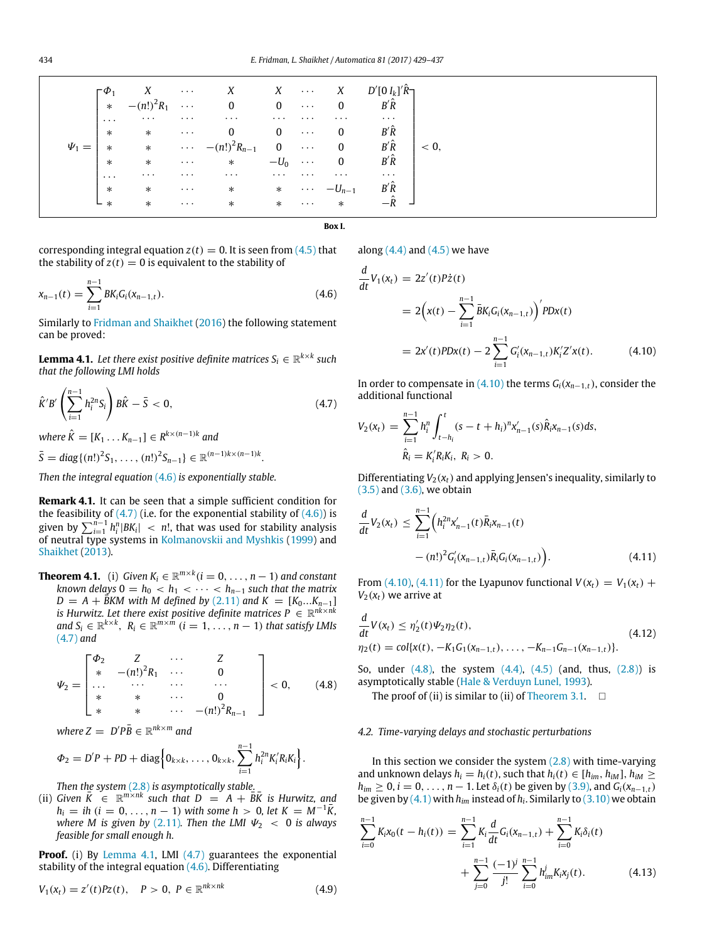<span id="page-5-0"></span>

|  | $D'[0 I_k]' \hat{R}$ ר<br>$B'\hat{R}$<br>$-\hat{R}$ | $X \quad \cdots \quad X$ |  |  | $\label{eq:Psi1} \Psi_1 = \begin{bmatrix} \phi_1 & X & \cdots & X & X & \cdots & X & D'[0\,I_k]^{\hat R} \\ * & - (n!)^2 R_1 & \cdots & 0 & 0 & \cdots & 0 & B'\hat R \\ \cdots & \cdots & \cdots & \cdots & \cdots & \cdots & \cdots & \cdots \\ * & * & \cdots & 0 & 0 & \cdots & 0 & B'\hat R \\ * & * & \cdots & - (n!)^2 R_{n-1} & 0 & \cdots & 0 & B'\hat R \\ * & * & \cdots & * & -U_0 & \cdots & 0 & B'\hat R \\ \cdots & \cdots & \cdots &$<br>$\cdots$ * * $\cdots$ -U <sub>n-1</sub><br>$\cdots$ * * $\cdots$ * |  | $*$<br>$\ast$ | $\overline{\phantom{a}}$ |
|--|-----------------------------------------------------|--------------------------|--|--|-----------------------------------------------------------------------------------------------------------------------------------------------------------------------------------------------------------------------------------------------------------------------------------------------------------------------------------------------------------------------------------------------------------------------------------------------------------------------------------------------------------------------------|--|---------------|--------------------------|
|--|-----------------------------------------------------|--------------------------|--|--|-----------------------------------------------------------------------------------------------------------------------------------------------------------------------------------------------------------------------------------------------------------------------------------------------------------------------------------------------------------------------------------------------------------------------------------------------------------------------------------------------------------------------------|--|---------------|--------------------------|

**Box I.**

corresponding integral equation  $z(t) = 0$ . It is seen from  $(4.5)$  that the stability of  $z(t) = 0$  is equivalent to the stability of

$$
x_{n-1}(t) = \sum_{i=1}^{n-1} BK_i G_i(x_{n-1,t}).
$$
\n(4.6)

Similarly to [Fridman](#page-8-7) [and](#page-8-7) [Shaikhet](#page-8-7) [\(2016\)](#page-8-7) the following statement can be proved:

<span id="page-5-3"></span> ${\bf Lemma \ 4.1.}$  *Let there exist positive definite matrices*  $S_i \in \mathbb{R}^{k \times k}$  *such that the following LMI holds*

$$
\hat{K}'B'\left(\sum_{i=1}^{n-1}h_i^{2n}S_i\right)B\hat{K} - \bar{S} < 0,\tag{4.7}
$$

 $where \hat{K} = [K_1 \dots K_{n-1}] \in R^{k \times (n-1)k}$  and

$$
\bar{S} = diag\{(n!)^2S_1, \ldots, (n!)^2S_{n-1}\} \in \mathbb{R}^{(n-1)k \times (n-1)k}.
$$

*Then the integral equation* [\(4.6\)](#page-5-1) *is exponentially stable.*

**Remark 4.1.** It can be seen that a simple sufficient condition for the feasibility of  $(4.7)$  (i.e. for the exponential stability of  $(4.6)$ ) is given by  $\sum_{i=1}^{n-1} h_i^n |BK_i| \ <\ n!$ , that was used for stability analysis of neutral type systems in [Kolmanovskii](#page-8-13) [and](#page-8-13) [Myshkis](#page-8-13) [\(1999\)](#page-8-13) and [Shaikhet](#page-8-11) [\(2013\)](#page-8-11).

<span id="page-5-8"></span>**Theorem 4.1.** (i) Given  $K_i \in \mathbb{R}^{m \times k}$  ( $i = 0, \ldots, n-1$ ) and constant  $k$ nown delays  $0 = h_0 < h_1 < \cdots < h_{n-1}$  such that the matrix  $D = A + \overline{B}$ KM with *M* defined by [\(2.11\)](#page-1-5) and  $K = [K_0...K_{n-1}]$ *is Hurwitz. Let there exist positive definite matrices*  $P \in \mathbb{R}^{nk \times nk}$ *and*  $S_i$  ∈  $\mathbb{R}^{k \times k}$ ,  $R_i$  ∈  $\mathbb{R}^{m \times m}$   $(i = 1, ..., n − 1)$  *that satisfy LMIs* [\(4.7\)](#page-5-2) *and*

$$
\Psi_2 = \begin{bmatrix} \Phi_2 & Z & \cdots & Z \\ * & -(n!)^2 R_1 & \cdots & 0 \\ \cdots & \cdots & \cdots & \cdots \\ * & * & \cdots & 0 \\ * & * & \cdots & -(n!)^2 R_{n-1} \end{bmatrix} < 0, \qquad (4.8)
$$

 $where Z = D'P\bar{B} \in \mathbb{R}^{nk \times m}$  and

$$
\Phi_2 = D'P + PD + \text{diag}\Big\{0_{k \times k}, \ldots, 0_{k \times k}, \sum_{i=1}^{n-1} h_i^{2n} K_i'R_iK_i\Big\}.
$$

*Then the system* [\(2.8\)](#page-1-8) *is asymptotically stable.*

(ii) *Given*  $\overline{K} \in \mathbb{R}^{m \times nk}$  *such that*  $D = A + \overline{B} \overline{K}$  *is Hurwitz, and*  $h_i = ih$  ( $i = 0, ..., n - 1$ ) *with some h* > 0, let  $K = M^{-1}\overline{K}$ , *where M is given by* [\(2.11\)](#page-1-5). Then the LMI  $\Psi_2 < 0$  is always *feasible for small enough h.*

**Proof.** (i) By [Lemma 4.1,](#page-5-3) LMI [\(4.7\)](#page-5-2) guarantees the exponential stability of the integral equation [\(4.6\).](#page-5-1) Differentiating

$$
V_1(x_t) = z'(t)Pz(t), \quad P > 0, \ P \in \mathbb{R}^{nk \times nk}
$$
 (4.9)

along  $(4.4)$  and  $(4.5)$  we have

<span id="page-5-1"></span>
$$
\frac{d}{dt}V_1(x_t) = 2z'(t)P\dot{z}(t)
$$
\n
$$
= 2\left(x(t) - \sum_{i=1}^{n-1} \bar{B}K_i G_i(x_{n-1,t})\right)'P D x(t)
$$
\n
$$
= 2x'(t)P D x(t) - 2\sum_{i=1}^{n-1} G'_i(x_{n-1,t})K'_i Z' x(t). \tag{4.10}
$$

<span id="page-5-4"></span><span id="page-5-2"></span>In order to compensate in [\(4.10\)](#page-5-4) the terms  $G_i(x_{n-1,t})$ , consider the additional functional

$$
V_2(x_t) = \sum_{i=1}^{n-1} h_i^n \int_{t-h_i}^t (s-t+h_i)^n x'_{n-1}(s) \hat{R}_i x_{n-1}(s) ds,
$$
  

$$
\hat{R}_i = K_i'R_iK_i, R_i > 0.
$$

Differentiating  $V_2(x_t)$  and applying Jensen's inequality, similarly to [\(3.5\)](#page-2-6) and [\(3.6\),](#page-2-8) we obtain

<span id="page-5-5"></span>
$$
\frac{d}{dt}V_2(x_t) \leq \sum_{i=1}^{n-1} \left( h_i^{2n} x'_{n-1}(t) \overline{R}_i x_{n-1}(t) - (n!)^2 G'_i (x_{n-1,t}) \overline{R}_i G_i (x_{n-1,t}) \right).
$$
\n(4.11)

From [\(4.10\),](#page-5-4) [\(4.11\)](#page-5-5) for the Lyapunov functional  $V(x_t) = V_1(x_t) +$  $V_2(x_t)$  we arrive at

$$
\frac{d}{dt}V(x_t) \leq \eta_2'(t)\Psi_2\eta_2(t),
$$
\n(4.12)  
\n
$$
\eta_2(t) = \text{col}\{x(t), -K_1G_1(x_{n-1,t}), \dots, -K_{n-1}G_{n-1}(x_{n-1,t})\}.
$$

<span id="page-5-6"></span>So, under  $(4.8)$ , the system  $(4.4)$ ,  $(4.5)$  (and, thus,  $(2.8)$ ) is asymptotically stable [\(Hale](#page-8-18) [&](#page-8-18) [Verduyn](#page-8-18) [Lunel,](#page-8-18) [1993\)](#page-8-18).

The proof of (ii) is similar to (ii) of [Theorem 3.1.](#page-2-10)  $\square$ 

# *4.2. Time-varying delays and stochastic perturbations*

In this section we consider the system  $(2.8)$  with time-varying and unknown delays  $h_i = h_i(t)$ , such that  $h_i(t) \in [h_{im}, h_{iM}], h_{iM} \geq$  $h_{im} \geq 0$ ,  $i = 0, \ldots, n - 1$ . Let  $\delta_i(t)$  be given by [\(3.9\),](#page-3-1) and  $G_i(x_{n-1,t})$ be given by [\(4.1\)](#page-4-5) with *him* instead of *h<sup>i</sup>* . Similarly to [\(3.10\)](#page-3-2) we obtain

<span id="page-5-7"></span>
$$
\sum_{i=0}^{n-1} K_i x_0(t - h_i(t)) = \sum_{i=1}^{n-1} K_i \frac{d}{dt} G_i(x_{n-1,t}) + \sum_{i=0}^{n-1} K_i \delta_i(t) + \sum_{j=0}^{n-1} \frac{(-1)^j}{j!} \sum_{i=0}^{n-1} h_{im}^j K_i x_j(t).
$$
 (4.13)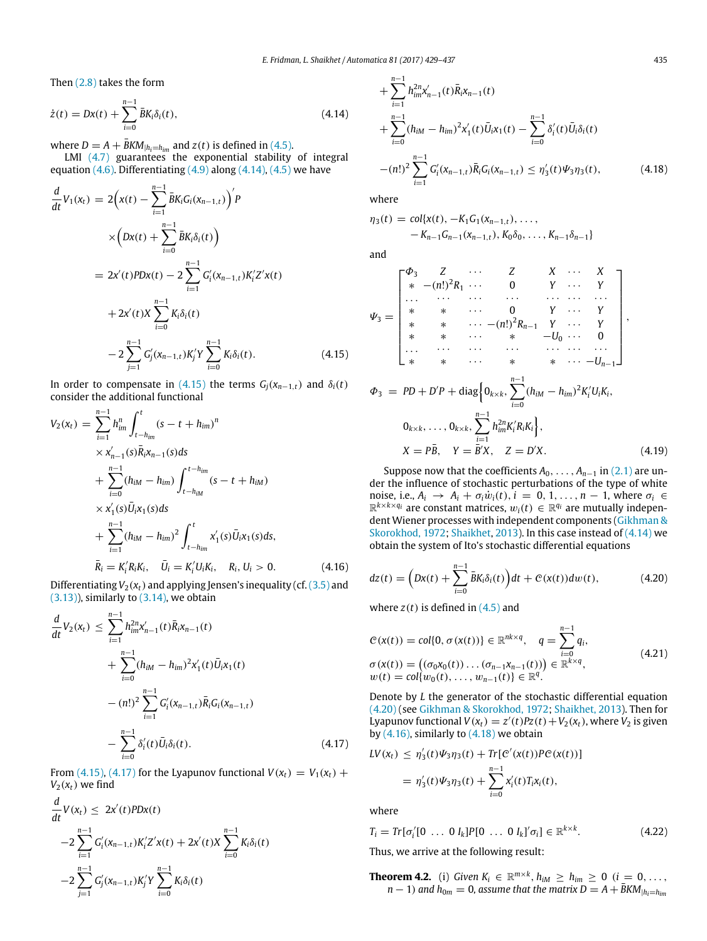Then [\(2.8\)](#page-1-8) takes the form

$$
\dot{z}(t) = Dx(t) + \sum_{i=0}^{n-1} \bar{B}K_i \delta_i(t),
$$
\n(4.14)

where  $D = A + \bar{B}KM_{|h_i=h_{im}}$  and  $z(t)$  is defined in [\(4.5\).](#page-4-3)

LMI [\(4.7\)](#page-5-2) guarantees the exponential stability of integral equation  $(4.6)$ . Differentiating  $(4.9)$  along  $(4.14)$ ,  $(4.5)$  we have

$$
\frac{d}{dt}V_1(x_t) = 2\left(x(t) - \sum_{i=1}^{n-1} \bar{B}K_i G_i(x_{n-1,t})\right)'P
$$
\n
$$
\times \left(Dx(t) + \sum_{i=0}^{n-1} \bar{B}K_i \delta_i(t)\right)
$$
\n
$$
= 2x'(t)PDx(t) - 2\sum_{i=1}^{n-1} G'_i(x_{n-1,t})K'_i Z' x(t)
$$
\n
$$
+ 2x'(t)X\sum_{i=0}^{n-1} K_i \delta_i(t)
$$
\n
$$
- 2\sum_{j=1}^{n-1} G'_j(x_{n-1,t})K'_j Y \sum_{i=0}^{n-1} K_i \delta_i(t).
$$
\n(4.15)

In order to compensate in [\(4.15\)](#page-6-1) the terms  $G_i(x_{n-1,t})$  and  $\delta_i(t)$ consider the additional functional

$$
V_2(x_t) = \sum_{i=1}^{n-1} h_{im}^n \int_{t-h_{im}}^t (s-t+h_{im})^n
$$
  
\n
$$
\times x'_{n-1}(s)\overline{R}_i x_{n-1}(s) ds
$$
  
\n
$$
+ \sum_{i=0}^{n-1} (h_{iM} - h_{im}) \int_{t-h_{im}}^{t-h_{im}} (s-t+h_{iM})
$$
  
\n
$$
\times x'_{1}(s)\overline{U}_i x_1(s) ds
$$
  
\n
$$
+ \sum_{i=1}^{n-1} (h_{iM} - h_{im})^2 \int_{t-h_{im}}^t x'_{1}(s)\overline{U}_i x_1(s) ds,
$$
  
\n
$$
\overline{R}_i = K'_i R_i K_i, \quad \overline{U}_i = K'_i U_i K_i, \quad R_i, U_i > 0.
$$
 (4.16)

Differentiating  $V_2(x_t)$  and applying Jensen's inequality (cf.  $(3.5)$  and  $(3.13)$ , similarly to  $(3.14)$ , we obtain

$$
\frac{d}{dt}V_2(x_t) \leq \sum_{i=1}^{n-1} h_{im}^{2n} x'_{n-1}(t) \bar{R}_i x_{n-1}(t) \n+ \sum_{i=0}^{n-1} (h_{iM} - h_{im})^2 x'_1(t) \bar{U}_i x_1(t) \n- (n!)^2 \sum_{i=1}^{n-1} G'_i (x_{n-1,t}) \bar{R}_i G_i (x_{n-1,t}) \n- \sum_{i=0}^{n-1} \delta'_i(t) \bar{U}_i \delta_i(t).
$$
\n(4.17)

From [\(4.15\),](#page-6-1) [\(4.17\)](#page-6-2) for the Lyapunov functional  $V(x_t) = V_1(x_t) +$  $V_2(x_t)$  we find

$$
\frac{d}{dt}V(x_t) \le 2x'(t)PDx(t)
$$
\n
$$
-2\sum_{i=1}^{n-1} G'_i(x_{n-1,t})K'_i Z'x(t) + 2x'(t)X \sum_{i=0}^{n-1} K_i \delta_i(t)
$$
\n
$$
-2\sum_{j=1}^{n-1} G'_j(x_{n-1,t})K'_j Y \sum_{i=0}^{n-1} K_i \delta_i(t)
$$

<span id="page-6-0"></span>
$$
+\sum_{i=1}^{n-1} h_{im}^{2n} x'_{n-1}(t) \bar{R}_i x_{n-1}(t)
$$
  
+ 
$$
\sum_{i=0}^{n-1} (h_{iM} - h_{im})^2 x'_1(t) \bar{U}_i x_1(t) - \sum_{i=0}^{n-1} \delta'_i(t) \bar{U}_i \delta_i(t)
$$
  
-
$$
-(n!)^2 \sum_{i=1}^{n-1} G'_i(x_{n-1,t}) \bar{R}_i G_i(x_{n-1,t}) \le \eta'_3(t) \Psi_3 \eta_3(t),
$$
 (4.18)

<span id="page-6-5"></span>where

$$
\eta_3(t) = \text{col}\{x(t), -K_1G_1(x_{n-1,t}), \dots, -K_{n-1}G_{n-1}(x_{n-1,t}), K_0\delta_0, \dots, K_{n-1}\delta_{n-1}\}
$$

and

$$
\varPsi_3 = \begin{bmatrix}\n\Phi_3 & Z & \cdots & Z & X & \cdots & X \\
* & -(n!)^2 R_1 & \cdots & 0 & Y & \cdots & Y \\
\cdots & \cdots & \cdots & \cdots & \cdots & \cdots & \cdots \\
* & * & \cdots & 0 & Y & \cdots & Y \\
* & * & \cdots & -(n!)^2 R_{n-1} & Y & \cdots & Y \\
* & * & \cdots & * & -U_0 & \cdots & 0 \\
\cdots & \cdots & \cdots & \cdots & \cdots & \cdots & \cdots \\
* & * & * & \cdots & * & * & \cdots & -U_{n-1}\n\end{bmatrix},
$$

<span id="page-6-6"></span><span id="page-6-1"></span>
$$
\Phi_3 = PD + D'P + \text{diag}\Big\{0_{k \times k}, \sum_{i=0}^{n-1} (h_{iM} - h_{im})^2 K'_i U_i K_i,
$$
  

$$
0_{k \times k}, \dots, 0_{k \times k}, \sum_{i=1}^{n-1} h_{im}^{2n} K'_i R_i K_i \Big\},
$$
  

$$
X = P\bar{B}, \quad Y = \bar{B}'X, \quad Z = D'X.
$$
 (4.19)

Suppose now that the coefficients  $A_0, \ldots, A_{n-1}$  in [\(2.1\)](#page-1-0) are under the influence of stochastic perturbations of the type of white noise, i.e.,  $A_i \rightarrow A_i + \sigma_i \dot{w}_i(t)$ ,  $i = 0, 1, \ldots, n-1$ , where  $\sigma_i \in$  $\mathbb{R}^{k \times k \times q_i}$  are constant matrices,  $w_i(t) \in \mathbb{R}^{q_i}$  are mutually independent Wiener processes with independent components [\(Gikhman](#page-8-19) [&](#page-8-19) [Skorokhod,](#page-8-19) [1972;](#page-8-19) [Shaikhet,](#page-8-11) [2013\)](#page-8-11). In this case instead of [\(4.14\)](#page-6-0) we obtain the system of Ito's stochastic differential equations

<span id="page-6-4"></span><span id="page-6-3"></span>
$$
dz(t) = \left(Dx(t) + \sum_{i=0}^{n-1} \bar{B}K_i \delta_i(t)\right) dt + C(x(t))dw(t), \qquad (4.20)
$$

where  $z(t)$  is defined in  $(4.5)$  and

<span id="page-6-8"></span>
$$
C(x(t)) = col\{0, \sigma(x(t))\} \in \mathbb{R}^{nk \times q}, \quad q = \sum_{i=0}^{n-1} q_i,
$$
  
\n
$$
\sigma(x(t)) = ((\sigma_0 x_0(t)) \dots (\sigma_{n-1} x_{n-1}(t))) \in \mathbb{R}^{k \times q},
$$
  
\n
$$
w(t) = col\{w_0(t), \dots, w_{n-1}(t)\} \in \mathbb{R}^q.
$$
\n(4.21)

Denote by *L* the generator of the stochastic differential equation [\(4.20\)](#page-6-3) (see [Gikhman](#page-8-19) [&](#page-8-19) [Skorokhod,](#page-8-19) [1972;](#page-8-19) [Shaikhet,](#page-8-11) [2013\)](#page-8-11). Then for Lyapunov functional  $V(x_t) = z'(t)Pz(t) + V_2(x_t)$ , where  $V_2$  is given by  $(4.16)$ , similarly to  $(4.18)$  we obtain

<span id="page-6-2"></span>
$$
LV(x_t) \leq \eta_3'(t)\Psi_3\eta_3(t) + Tr[C'(x(t))P C(x(t))]
$$
  
=  $\eta_3'(t)\Psi_3\eta_3(t) + \sum_{i=0}^{n-1} x_i'(t)T_i x_i(t),$ 

<span id="page-6-7"></span>where

$$
T_i = Tr[\sigma'_i[0 \ldots 0 I_k]P[0 \ldots 0 I_k]' \sigma_i] \in \mathbb{R}^{k \times k}.
$$
 (4.22)

Thus, we arrive at the following result:

<span id="page-6-9"></span>**Theorem 4.2.** (i) *Given*  $K_i \in \mathbb{R}^{m \times k}$ ,  $h_{iM} \ge h_{im} \ge 0$  ( $i = 0, \ldots, k$ )  $n-1$ ) and  $h_{0m} = 0$ , assume that the matrix  $D = A + \bar{B}KM_{|h_i=h_{im}}$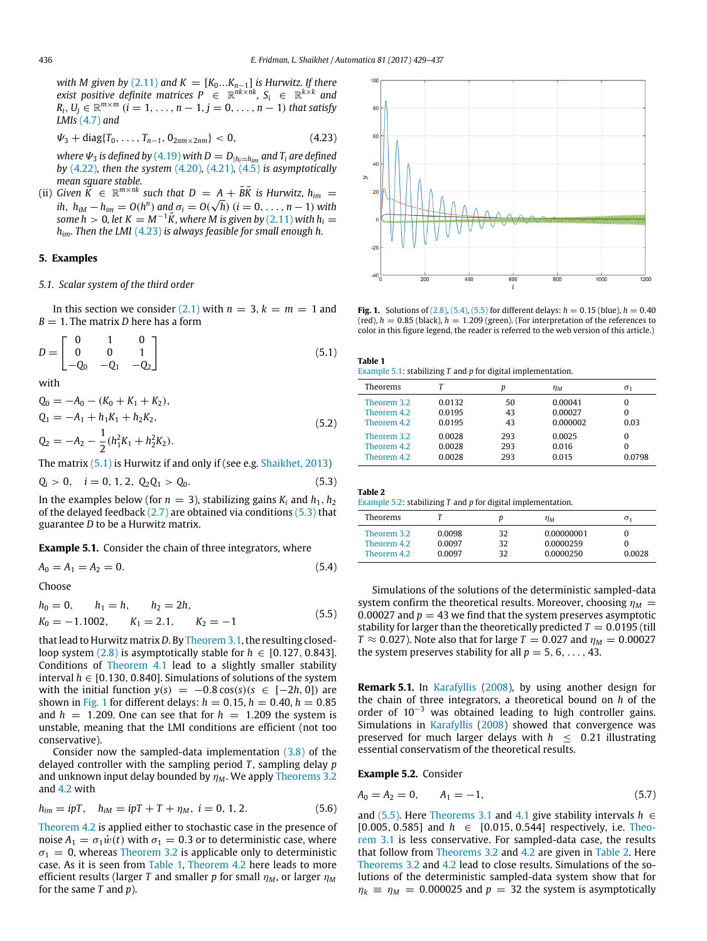*with M given by* [\(2.11\)](#page-1-5) *and*  $K = [K_0...K_{n-1}]$  *is Hurwitz. If there exist positive definite matrices*  $P \in \mathbb{R}^{nk \times nk}$ ,  $S_i \in \mathbb{R}^{k \times k}$  and  $R_i$ ,  $U_j \in \mathbb{R}^{m \times m}$   $(i = 1, \ldots, n-1, j = 0, \ldots, n-1)$  that satisfy *LMIs* [\(4.7\)](#page-5-2) *and*

$$
\Psi_3 + \text{diag}\{T_0, \ldots, T_{n-1}, 0_{2nm \times 2nm}\} < 0,\tag{4.23}
$$

*where*  $\Psi_3$  *is defined by* [\(4.19\)](#page-6-6) *with*  $D = D_{|h_i=h_{im}}$  *and*  $T_i$  *are defined by* [\(4.22\)](#page-6-7)*, then the system* [\(4.20\)](#page-6-3)*,* [\(4.21\)](#page-6-8)*,* [\(4.5\)](#page-4-3) *is asymptotically mean square stable.*

(ii) *Given*  $\vec{K} \in \mathbb{R}^{m \times nk}$  *such that*  $D = A + \overline{B}\overline{K}$  *is Hurwitz, h<sub>im</sub>* = *ih*,  $h_{iM} - h_{im} = O(h^n)$  and  $\sigma_i = O(\sqrt{h})$   $(i = 0, ..., n - 1)$  with *some h* > 0, let  $K = M^{-1}\bar{K}$ , where M is given by [\(2.11\)](#page-1-5) with  $h_i =$ *him. Then the LMI* [\(4.23\)](#page-7-0) *is always feasible for small enough h.*

# **5. Examples**

# *5.1. Scalar system of the third order*

In this section we consider [\(2.1\)](#page-1-0) with  $n = 3$ ,  $k = m = 1$  and  $B = 1$ . The matrix *D* here has a form

$$
D = \begin{bmatrix} 0 & 1 & 0 \\ 0 & 0 & 1 \\ -Q_0 & -Q_1 & -Q_2 \end{bmatrix}
$$
 (5.1)

with

$$
Q_0 = -A_0 - (K_0 + K_1 + K_2),
$$
  
\n
$$
Q_1 = -A_1 + h_1 K_1 + h_2 K_2,
$$
  
\n
$$
Q_2 = -A_2 - \frac{1}{2} (h_1^2 K_1 + h_2^2 K_2).
$$
\n(5.2)

The matrix [\(5.1\)](#page-7-1) is Hurwitz if and only if (see e.g. [Shaikhet,](#page-8-11) [2013\)](#page-8-11)

$$
Q_i > 0, \quad i = 0, 1, 2, \ Q_2 Q_1 > Q_0. \tag{5.3}
$$

In the examples below (for  $n = 3$ ), stabilizing gains  $K_i$  and  $h_1, h_2$ of the delayed feedback  $(2.7)$  are obtained via conditions  $(5.3)$  that guarantee *D* to be a Hurwitz matrix.

## <span id="page-7-7"></span>**Example 5.1.** Consider the chain of three integrators, where

$$
A_0 = A_1 = A_2 = 0. \t\t(5.4)
$$

Choose

$$
h_0 = 0,
$$
  $h_1 = h,$   $h_2 = 2h,$   
\n $K_0 = -1.1002,$   $K_1 = 2.1,$   $K_2 = -1$  (5.5)

that lead to Hurwitz matrix*D*. By [Theorem 3.1,](#page-2-10) the resulting closedloop system  $(2.8)$  is asymptotically stable for  $h \in [0.127, 0.843]$ . Conditions of [Theorem 4.1](#page-5-8) lead to a slightly smaller stability interval  $h \in [0.130, 0.840]$ . Simulations of solutions of the system with the initial function  $y(s) = -0.8 \cos(s)(s \in [-2h, 0])$  are shown in [Fig. 1](#page-7-3) for different delays:  $h = 0.15$ ,  $h = 0.40$ ,  $h = 0.85$ and  $h = 1.209$ . One can see that for  $h = 1.209$  the system is unstable, meaning that the LMI conditions are efficient (not too conservative).

Consider now the sampled-data implementation  $(3.8)$  of the delayed controller with the sampling period *T* , sampling delay *p* and unknown input delay bounded by  $\eta_M$ . We apply [Theorems 3.2](#page-4-7) and [4.2](#page-6-9) with

$$
h_{im} = ipT, \quad h_{iM} = ipT + T + \eta_M, \ i = 0, 1, 2. \tag{5.6}
$$

[Theorem 4.2](#page-6-9) is applied either to stochastic case in the presence of noise  $A_1 = \sigma_1 \dot{w}(t)$  with  $\sigma_1 = 0.3$  or to deterministic case, where  $\sigma_1 = 0$ , whereas [Theorem 3.2](#page-4-7) is applicable only to deterministic case. As it is seen from [Table 1,](#page-7-4) [Theorem 4.2](#page-6-9) here leads to more efficient results (larger *T* and smaller *p* for small  $\eta_M$ , or larger  $\eta_M$ for the same *T* and *p*).

<span id="page-7-3"></span><span id="page-7-0"></span>

**Fig. 1.** Solutions of  $(2.8)$ ,  $(5.4)$ ,  $(5.5)$  for different delays:  $h = 0.15$  (blue),  $h = 0.40$ (red),  $h = 0.85$  (black),  $h = 1.209$  (green). (For interpretation of the references to color in this figure legend, the reader is referred to the web version of this article.)

<span id="page-7-4"></span><span id="page-7-1"></span>

| Table 1                                                          |  |
|------------------------------------------------------------------|--|
| Example 5.1: stabilizing $T$ and $p$ for digital implementation. |  |

| Theorems                                  |                            | D                 | $\eta_M$                       | $\sigma_1$       |
|-------------------------------------------|----------------------------|-------------------|--------------------------------|------------------|
| Theorem 3.2<br>Theorem 4.2<br>Theorem 4.2 | 0.0132<br>0.0195<br>0.0195 | 50<br>43<br>43    | 0.00041<br>0.00027<br>0.000002 | $\Omega$<br>0.03 |
| Theorem 3.2<br>Theorem 4.2<br>Theorem 4.2 | 0.0028<br>0.0028<br>0.0028 | 293<br>293<br>293 | 0.0025<br>0.016<br>0.015       | 0<br>0.0798      |

<span id="page-7-9"></span><span id="page-7-2"></span>

| Table 2 |                                                                  |
|---------|------------------------------------------------------------------|
|         | Example 5.2; stabilizing $T$ and $p$ for digital implementation. |
|         |                                                                  |

| Theorems    |        |    | $n_M$      | $\sigma_{1}$ |
|-------------|--------|----|------------|--------------|
| Theorem 3.2 | 0.0098 | 32 | 0.00000001 |              |
| Theorem 4.2 | 0.0097 | 32 | 0.0000259  |              |
| Theorem 4.2 | 0.0097 | 32 | 0.0000250  | 0.0028       |

<span id="page-7-6"></span><span id="page-7-5"></span>Simulations of the solutions of the deterministic sampled-data system confirm the theoretical results. Moreover, choosing  $\eta_M =$ 0.00027 and  $p = 43$  we find that the system preserves asymptotic stability for larger than the theoretically predicted  $T = 0.0195$  (till *T*  $\approx$  0.027). Note also that for large *T* = 0.027 and  $\eta_M$  = 0.00027 the system preserves stability for all  $p = 5, 6, \ldots, 43$ .

**Remark 5.1.** In [Karafyllis](#page-8-3) [\(2008\)](#page-8-3), by using another design for the chain of three integrators, a theoretical bound on *h* of the order of  $10^{-3}$  was obtained leading to high controller gains. Simulations in [Karafyllis](#page-8-3) [\(2008\)](#page-8-3) showed that convergence was preserved for much larger delays with  $h < 0.21$  illustrating essential conservatism of the theoretical results.

<span id="page-7-8"></span>**Example 5.2.** Consider

$$
A_0 = A_2 = 0, \qquad A_1 = -1,\tag{5.7}
$$

and [\(5.5\).](#page-7-6) Here [Theorems 3.1](#page-2-10) and [4.1](#page-5-8) give stability intervals *h* ∈ [\[](#page-2-10)0.005, 0.585] and *h* ∈ [0.015, 0.544] respectively, i.e. [Theo](#page-2-10)[rem 3.1](#page-2-10) is less conservative. For sampled-data case, the results that follow from [Theorems 3.2](#page-4-7) and [4.2](#page-6-9) are given in [Table 2.](#page-7-9) Here [Theorems 3.2](#page-4-7) and [4.2](#page-6-9) lead to close results. Simulations of the solutions of the deterministic sampled-data system show that for  $\eta_k \equiv \eta_M = 0.000025$  and  $p = 32$  the system is asymptotically